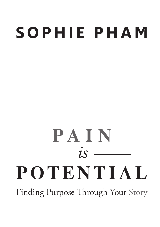## **S O P H I E P H A M**

# **PAIN**  $\frac{1}{1}$   $\frac{1}{1}$   $\frac{1}{1}$ **POTENTIAL**

Finding Purpose Through Your Story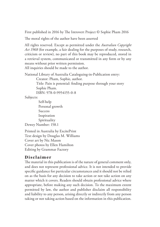First published in 2016 by The Introvert Project © Sophie Pham 2016

The moral rights of the author have been asserted

All rights reserved. Except as permitted under the *Australian Copyright Act 1968* (for example, a fair dealing for the purposes of study, research, criticism or review), no part of this book may be reproduced, stored in a retrieval system, communicated or transmitted in any form or by any means without prior written permission.

All inquiries should be made to the author.

National Library of Australia Cataloguing-in-Publication entry:

Creator: Pham, Sophie, author.

Title: Pain is potential: finding purpose through your story Sophie Pham.

ISBN: 978-0-9954155-0-8

Subjects:

Self-help Personal growth **Success** Inspiration Spirituality Dewey Number: 158.1

Printed in Australia by ExcitePrint Text design by Douglas M. Williams Cover art by Nic Mason Cover photos by Ellen Hamilton Editing by Grammar Factory

#### **Disclaimer**

The material in this publication is of the nature of general comment only, and does not represent professional advice. It is not intended to provide specific guidance for particular circumstances and it should not be relied on as the basis for any decision to take action or not take action on any matter which it covers. Readers should obtain professional advice where appropriate, before making any such decision. To the maximum extent permitted by law, the author and publisher disclaim all responsibility and liability to any person, arising directly or indirectly from any person taking or not taking action based on the information in this publication.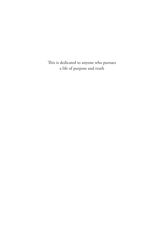This is dedicated to anyone who pursues a life of purpose and truth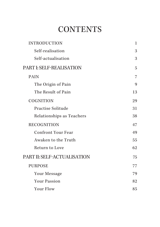## **CONTENTS**

| <b>INTRODUCTION</b>         | $\mathbf{1}$ |
|-----------------------------|--------------|
| Self-realisation            | 3            |
| Self-actualisation          | 3            |
| PART I: SELF-REALISATION    | 5            |
| <b>PAIN</b>                 | 7            |
| The Origin of Pain          | 9            |
| The Result of Pain          | 13           |
| <b>COGNITION</b>            | 29           |
| Practise Solitude           | 31           |
| Relationships as Teachers   | 38           |
| <b>RECOGNITION</b>          | 47           |
| <b>Confront Your Fear</b>   | 49           |
| Awaken to the Truth         | 55           |
| Return to Love              | 62           |
| PART II: SELF-ACTUALISATION | 75           |
| <b>PURPOSE</b>              | 77           |
| Your Message                | 79           |
| <b>Your Passion</b>         | 82           |
| <b>Your Flow</b>            | 85           |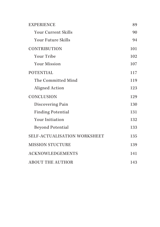| <b>EXPERIENCE</b>            | 89  |
|------------------------------|-----|
| <b>Your Current Skills</b>   | 90  |
| <b>Your Future Skills</b>    | 94  |
| <b>CONTRIBUTION</b>          | 101 |
| <b>Your Tribe</b>            | 102 |
| <b>Your Mission</b>          | 107 |
| <b>POTENTIAL</b>             | 117 |
| The Committed Mind           | 119 |
| Aligned Action               | 123 |
| <b>CONCLUSION</b>            | 129 |
| Discovering Pain             | 130 |
| <b>Finding Potential</b>     | 131 |
| <b>Your Initiation</b>       | 132 |
| <b>Beyond Potential</b>      | 133 |
| SELF-ACTUALISATION WORKSHEET | 135 |
| <b>MISSION STUCTURE</b>      | 139 |
| <b>ACKNOWLEDGEMENTS</b>      | 141 |
| <b>ABOUT THE AUTHOR</b>      | 143 |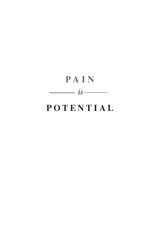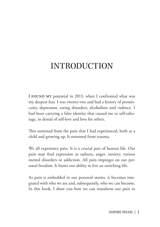## INTRODUCTION

I FOUND MY potential in 2013, when I confronted what was my deepest fear. I was twenty-two and had a history of promiscuity, depression, eating disorders, alcoholism and violence. I had been carrying a false identity that caused me to self-sabotage, in denial of self-love and love for others.

This stemmed from the pain that I had experienced, both as a child and growing up. It stemmed from trauma.

We all experience pain. It is a crucial part of human life. Our pain may find expression as sadness, anger, anxiety, various mental disorders or addiction. All pain impinges on our personal freedom. It limits our ability to live an enriching life.

As pain is embedded in our personal stories, it becomes integrated with who we are and, subsequently, who we can become. In this book, I show you how we can transform our pain to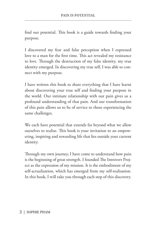find our potential. This book is a guide towards finding your purpose.

I discovered my fear and false perception when I expressed love to a man for the first time. This act revealed my resistance to love. Through the destruction of my false identity, my true identity emerged. In discovering my true self, I was able to connect with my purpose.

I have written this book to share everything that I have learnt about discovering your true self and finding your purpose in the world. Our intimate relationship with our pain gives us a profound understanding of that pain. And our transformation of this pain allows us to be of service to those experiencing the same challenges.

We each have potential that extends far beyond what we allow ourselves to realise. This book is your invitation to an empowering, inspiring and rewarding life that lies outside your current identity.

Through my own journey, I have come to understand how pain is the beginning of great strength. I founded The Introvert Project as the expression of my mission. It is the embodiment of my self-actualisation, which has emerged from my self-realisation. In this book, I will take you through each step of this discovery.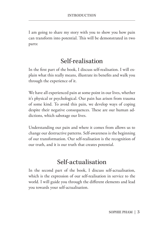I am going to share my story with you to show you how pain can transform into potential. This will be demonstrated in two parts:

### Self-realisation

In the first part of the book, I discuss self-realisation. I will explain what this really means, illustrate its benefits and walk you through the experience of it.

We have all experienced pain at some point in our lives, whether it's physical or psychological. Our pain has arisen from trauma of some kind. To avoid this pain, we develop ways of coping despite their negative consequences. These are our human addictions, which sabotage our lives.

Understanding our pain and where it comes from allows us to change our destructive patterns. Self-awareness is the beginning of our transformation. Our self-realisation is the recognition of our truth, and it is our truth that creates potential.

#### Self-actualisation

In the second part of the book, I discuss self-actualisation, which is the expression of our self-realisation in service to the world. I will guide you through the different elements and lead you towards your self-actualisation.